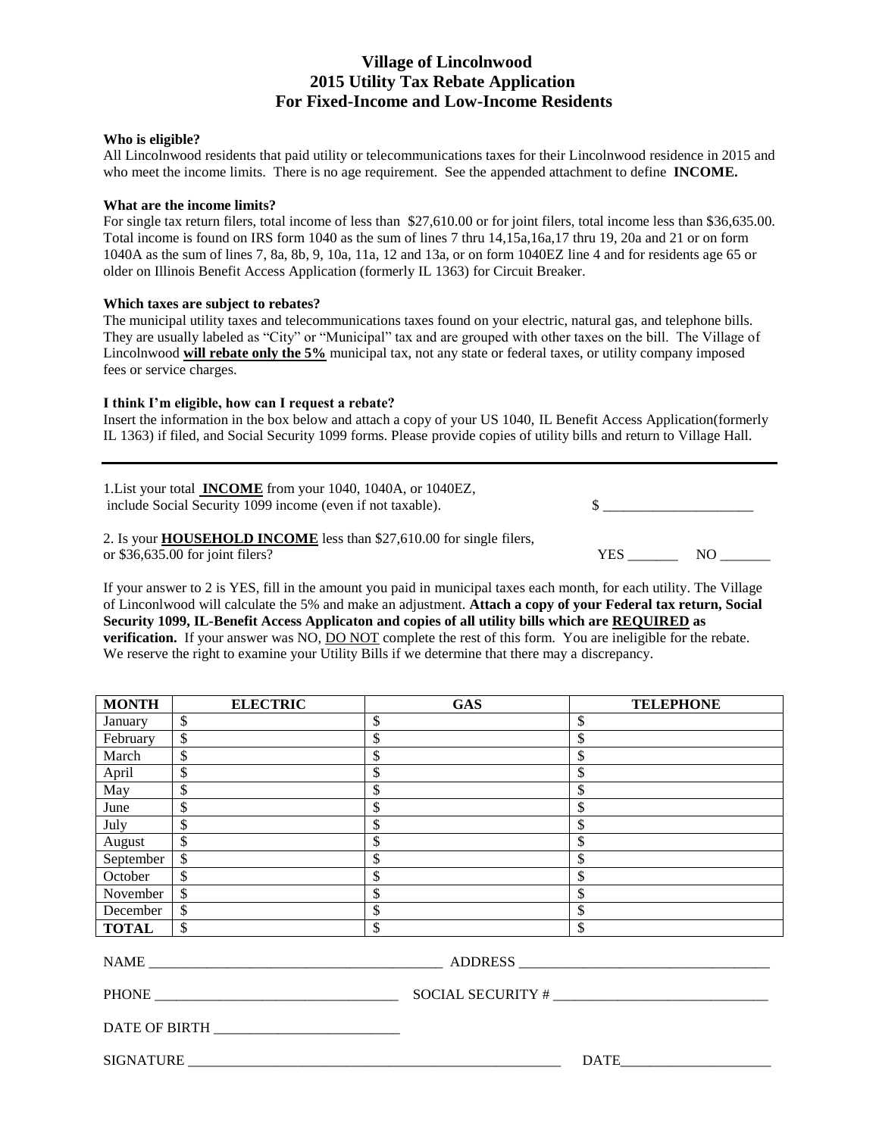# **Village of Lincolnwood 2015 Utility Tax Rebate Application For Fixed-Income and Low-Income Residents**

#### **Who is eligible?**

All Lincolnwood residents that paid utility or telecommunications taxes for their Lincolnwood residence in 2015 and who meet the income limits. There is no age requirement. See the appended attachment to define **INCOME.** 

#### **What are the income limits?**

For single tax return filers, total income of less than \$27,610.00 or for joint filers, total income less than \$36,635.00. Total income is found on IRS form 1040 as the sum of lines 7 thru 14,15a,16a,17 thru 19, 20a and 21 or on form 1040A as the sum of lines 7, 8a, 8b, 9, 10a, 11a, 12 and 13a, or on form 1040EZ line 4 and for residents age 65 or older on Illinois Benefit Access Application (formerly IL 1363) for Circuit Breaker.

## **Which taxes are subject to rebates?**

The municipal utility taxes and telecommunications taxes found on your electric, natural gas, and telephone bills. They are usually labeled as "City" or "Municipal" tax and are grouped with other taxes on the bill. The Village of Lincolnwood **will rebate only the 5%** municipal tax, not any state or federal taxes, or utility company imposed fees or service charges.

## **I think I'm eligible, how can I request a rebate?**

Insert the information in the box below and attach a copy of your US 1040, IL Benefit Access Application(formerly IL 1363) if filed, and Social Security 1099 forms. Please provide copies of utility bills and return to Village Hall.

1.List your total **INCOME** from your 1040, 1040A, or 1040EZ, include Social Security 1099 income (even if not taxable).  $\qquad \qquad$  \$

# 2. Is your **HOUSEHOLD INCOME** less than \$27,610.00 for single filers,

or  $$36,635.00$  for joint filers?

| YES | AN |
|-----|----|

If your answer to 2 is YES, fill in the amount you paid in municipal taxes each month, for each utility. The Village of Linconlwood will calculate the 5% and make an adjustment. **Attach a copy of your Federal tax return, Social Security 1099, IL-Benefit Access Applicaton and copies of all utility bills which are REQUIRED as verification.** If your answer was NO, **DO NOT** complete the rest of this form. You are ineligible for the rebate. We reserve the right to examine your Utility Bills if we determine that there may a discrepancy.

| <b>MONTH</b> | <b>ELECTRIC</b>          | <b>GAS</b>   | <b>TELEPHONE</b>        |  |
|--------------|--------------------------|--------------|-------------------------|--|
| January      | $\overline{\mathcal{S}}$ | \$           | \$                      |  |
| February     | $\overline{\$}$          | \$           | \$                      |  |
| March        | \$                       | \$           | \$                      |  |
| April        | \$                       | \$           | \$                      |  |
| May          | \$                       | \$           | \$                      |  |
| June         | \$                       | \$           | \$                      |  |
| July         | \$                       | \$           | \$                      |  |
| August       | \$                       | \$           | \$                      |  |
| September    | $\overline{\mathcal{S}}$ | $\mathbb{S}$ | \$                      |  |
| October      | \$                       | \$           | $\overline{\mathbb{S}}$ |  |
| November     | $\mathbb{S}$             | \$           | \$                      |  |
| December     | $\mathbb{S}$             | $\mathbb{S}$ | \$                      |  |
| <b>TOTAL</b> | $\mathbb{S}$             | $\mathbb{S}$ | \$                      |  |
|              |                          | ADDRESS      |                         |  |
|              |                          |              | SOCIAL SECURITY #       |  |
|              |                          |              |                         |  |
|              | <b>SIGNATURE</b>         |              | <b>DATE</b>             |  |